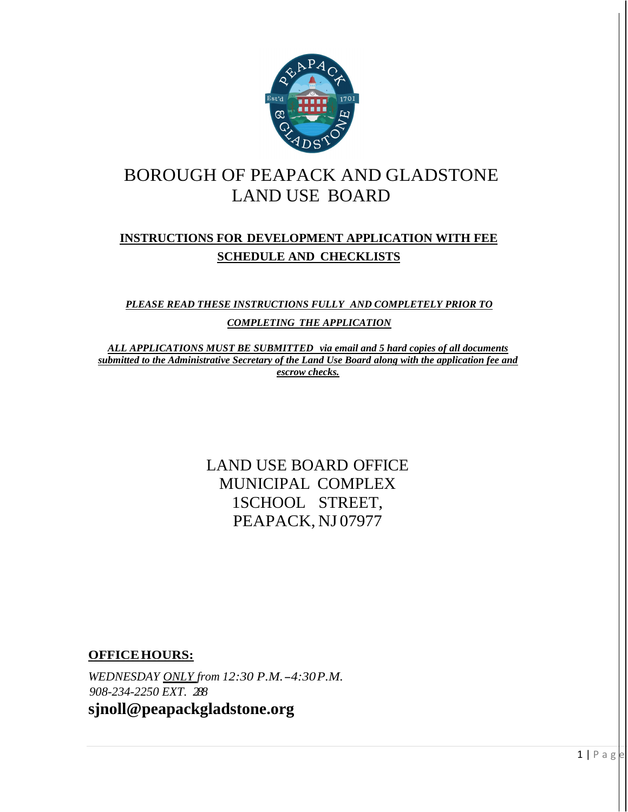

# BOROUGH OF PEAPACK AND GLADSTONE LAND USE BOARD

### **INSTRUCTIONS FOR DEVELOPMENT APPLICATION WITH FEE SCHEDULE AND CHECKLISTS**

*PLEASE READ THESE INSTRUCTIONS FULLY AND COMPLETELY PRIOR TO COMPLETING THE APPLICATION* 

*ALL APPLICATIONS MUST BE SUBMITTED via email and 5 hard copies of all documents submitted to the Administrative Secretary of the Land Use Board along with the application fee and escrow checks.* 

> LAND USE BOARD OFFICE MUNICIPAL COMPLEX 1SCHOOL STREET, PEAPACK, NJ 07977

**OFFICE HOURS:** 

*WEDNESDAY ONLY from 12:30 P.M. - 4:30 P.M. 908-234-2250 EXT. 288*  **sjnoll@peapackgladstone.org**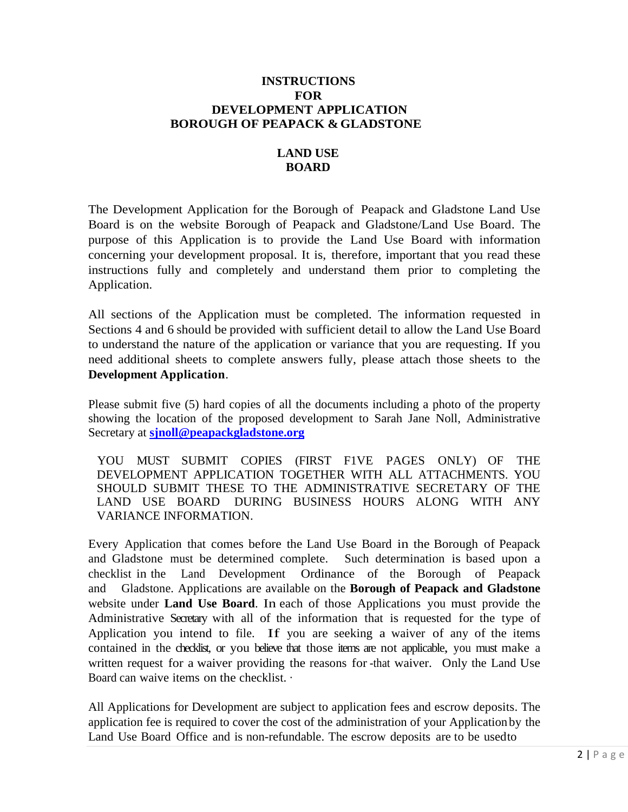#### **INSTRUCTIONS FOR DEVELOPMENT APPLICATION BOROUGH OF PEAPACK & GLADSTONE**

### **LAND USE BOARD**

The Development Application for the Borough of Peapack and Gladstone Land Use Board is on the website Borough of Peapack and Gladstone/Land Use Board. The purpose of this Application is to provide the Land Use Board with information concerning your development proposal. It is, therefore, important that you read these instructions fully and completely and understand them prior to completing the Application.

All sections of the Application must be completed. The information requested in Sections 4 and 6 should be provided with sufficient detail to allow the Land Use Board to understand the nature of the application or variance that you are requesting. If you need additional sheets to complete answers fully, please attach those sheets to the **Development Application**.

Please submit five (5) hard copies of all the documents including a photo of the property showing the location of the proposed development to Sarah Jane Noll, Administrative Secretary at **[sjnoll@peapackgladstone.org](mailto:sjnoll@peapackgladstone.org)**

YOU MUST SUBMIT COPIES (FIRST F1VE PAGES ONLY) OF THE DEVELOPMENT APPLICATION TOGETHER WITH ALL ATTACHMENTS. YOU SHOULD SUBMIT THESE TO THE ADMINISTRATIVE SECRETARY OF THE LAND USE BOARD DURING BUSINESS HOURS ALONG WITH ANY VARIANCE INFORMATION.

Every Application that comes before the Land Use Board in the Borough of Peapack and Gladstone must be determined complete. Such determination is based upon a checklist in the Land Development Ordinance of the Borough of Peapack and Gladstone. Applications are available on the **Borough of Peapack and Gladstone** website under **Land Use Board**. In each of those Applications you must provide the Administrative Secretary with all of the information that is requested for the type of Application you intend to file. If you are seeking a waiver of any of the items contained in the checklist, or you believe that those items are not applicable, you must make a written request for a waiver providing the reasons for -that waiver. Only the Land Use Board can waive items on the checklist. ·

All Applications for Development are subject to application fees and escrow deposits. The application fee is required to cover the cost of the administration of your Application by the Land Use Board Office and is non-refundable. The escrow deposits are to be used to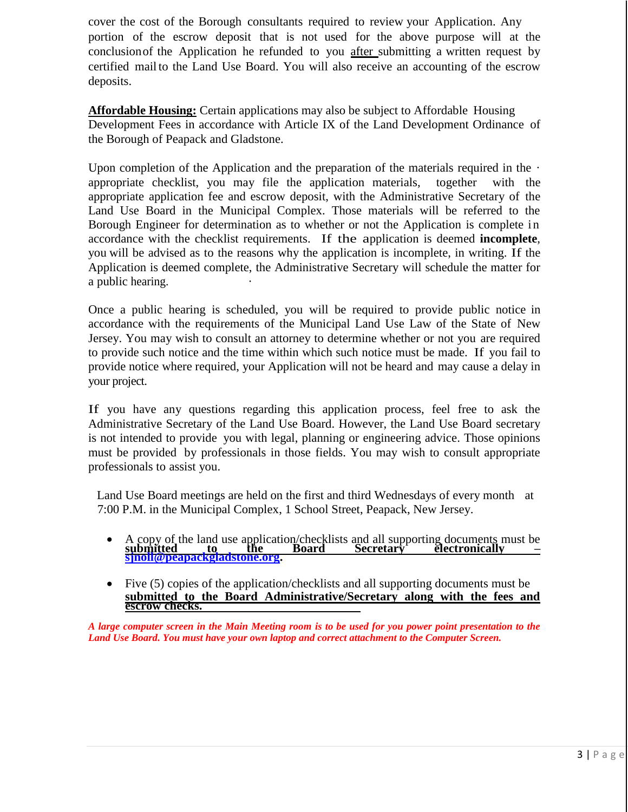cover the cost of the Borough consultants required to review your Application. Any portion of the escrow deposit that is not used for the above purpose will at the conclusionof the Application he refunded to you after submitting a written request by certified mail to the Land Use Board. You will also receive an accounting of the escrow deposits.

**Affordable Housing:** Certain applications may also be subject to Affordable Housing Development Fees in accordance with Article IX of the Land Development Ordinance of the Borough of Peapack and Gladstone.

Upon completion of the Application and the preparation of the materials required in the  $\cdot$ appropriate checklist, you may file the application materials, together with the appropriate application fee and escrow deposit, with the Administrative Secretary of the Land Use Board in the Municipal Complex. Those materials will be referred to the Borough Engineer for determination as to whether or not the Application is complete in accordance with the checklist requirements. If the application is deemed **incomplete**, you will be advised as to the reasons why the application is incomplete, in writing. If the Application is deemed complete, the Administrative Secretary will schedule the matter for a public hearing.

Once a public hearing is scheduled, you will be required to provide public notice in accordance with the requirements of the Municipal Land Use Law of the State of New Jersey. You may wish to consult an attorney to determine whether or not you are required to provide such notice and the time within which such notice must be made. If you fail to provide notice where required, your Application will not be heard and may cause a delay in your project.

If you have any questions regarding this application process, feel free to ask the Administrative Secretary of the Land Use Board. However, the Land Use Board secretary is not intended to provide you with legal, planning or engineering advice. Those opinions must be provided by professionals in those fields. You may wish to consult appropriate professionals to assist you.

Land Use Board meetings are held on the first and third Wednesdays of every month at 7:00 P.M. in the Municipal Complex, 1 School Street, Peapack, New Jersey.

- A copy of the land use application/checklists and all supporting documents must be **submitted to the Board Secretary electronically – [sjnoll@peapackgladstone.org.](mailto:sjnoll@peapackgladstone.org)**
- Five (5) copies of the application/checklists and all supporting documents must be **submitted to the Board Administrative/Secretary along with the fees and escrow checks.**

*A large computer screen in the Main Meeting room is to be used for you power point presentation to the Land Use Board. You must have your own laptop and correct attachment to the Computer Screen.*